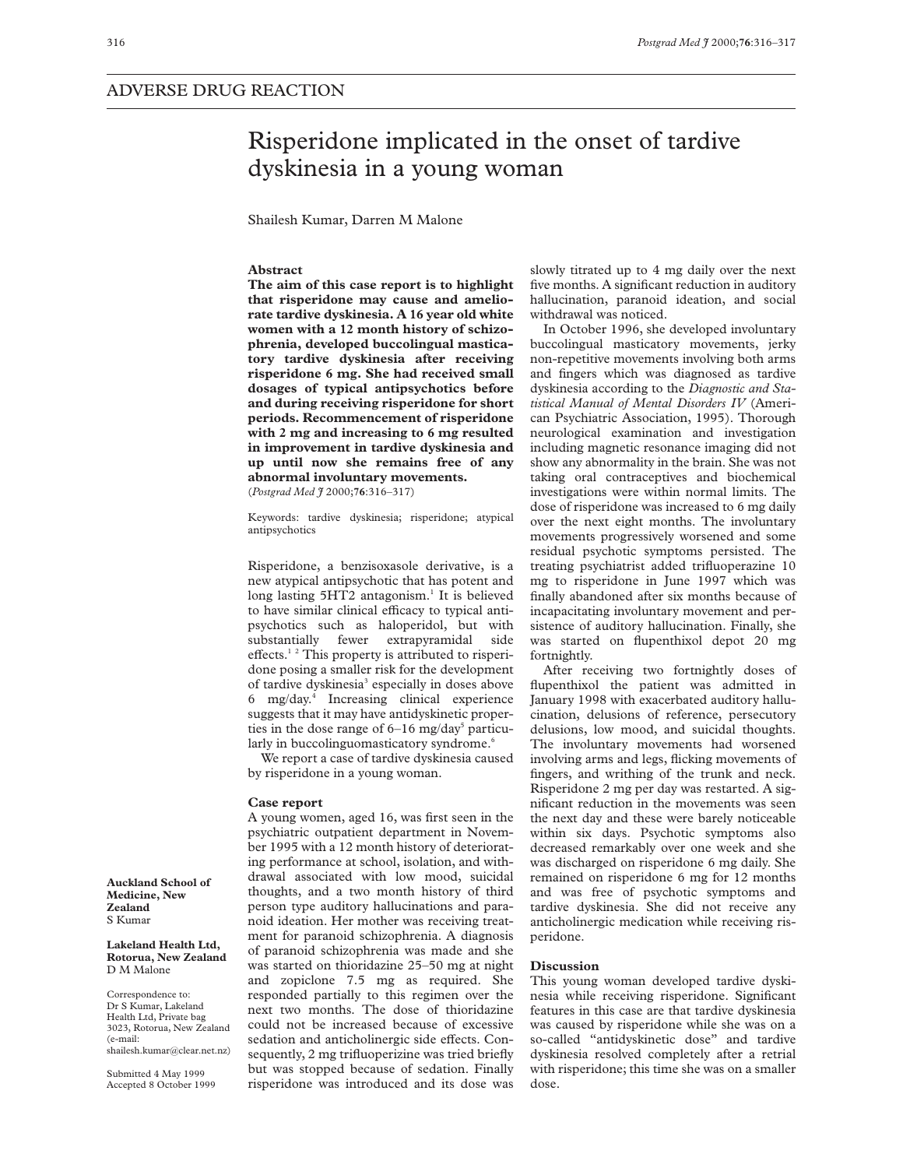## Risperidone implicated in the onset of tardive dyskinesia in a young woman

Shailesh Kumar, Darren M Malone

## **Abstract**

**The aim of this case report is to highlight that risperidone may cause and ameliorate tardive dyskinesia. A 16 year old white women with a 12 month history of schizophrenia, developed buccolingual masticatory tardive dyskinesia after receiving risperidone 6 mg. She had received small dosages of typical antipsychotics before and during receiving risperidone for short periods. Recommencement of risperidone with 2 mg and increasing to 6 mg resulted in improvement in tardive dyskinesia and up until now she remains free of any abnormal involuntary movements.** (*Postgrad Med J* 2000;**76**:316–317)

Keywords: tardive dyskinesia; risperidone; atypical antipsychotics

Risperidone, a benzisoxasole derivative, is a new atypical antipsychotic that has potent and long lasting  $5HT2$  antagonism.<sup>1</sup> It is believed to have similar clinical efficacy to typical antipsychotics such as haloperidol, but with substantially fewer extrapyramidal side effects.<sup>12</sup> This property is attributed to risperidone posing a smaller risk for the development of tardive dyskinesia<sup>3</sup> especially in doses above 6 mg/day.4 Increasing clinical experience suggests that it may have antidyskinetic properties in the dose range of  $6-16$  mg/day<sup>5</sup> particularly in buccolinguomasticatory syndrome.<sup>6</sup>

We report a case of tardive dyskinesia caused by risperidone in a young woman.

## **Case report**

A young women, aged 16, was first seen in the psychiatric outpatient department in November 1995 with a 12 month history of deteriorating performance at school, isolation, and withdrawal associated with low mood, suicidal thoughts, and a two month history of third person type auditory hallucinations and paranoid ideation. Her mother was receiving treatment for paranoid schizophrenia. A diagnosis of paranoid schizophrenia was made and she was started on thioridazine 25–50 mg at night and zopiclone 7.5 mg as required. She responded partially to this regimen over the next two months. The dose of thioridazine could not be increased because of excessive sedation and anticholinergic side effects. Consequently, 2 mg trifluoperizine was tried briefly but was stopped because of sedation. Finally risperidone was introduced and its dose was

slowly titrated up to 4 mg daily over the next five months. A significant reduction in auditory hallucination, paranoid ideation, and social withdrawal was noticed.

In October 1996, she developed involuntary buccolingual masticatory movements, jerky non-repetitive movements involving both arms and fingers which was diagnosed as tardive dyskinesia according to the *Diagnostic and Statistical Manual of Mental Disorders IV* (American Psychiatric Association, 1995). Thorough neurological examination and investigation including magnetic resonance imaging did not show any abnormality in the brain. She was not taking oral contraceptives and biochemical investigations were within normal limits. The dose of risperidone was increased to 6 mg daily over the next eight months. The involuntary movements progressively worsened and some residual psychotic symptoms persisted. The treating psychiatrist added trifluoperazine 10 mg to risperidone in June 1997 which was finally abandoned after six months because of incapacitating involuntary movement and persistence of auditory hallucination. Finally, she was started on flupenthixol depot 20 mg fortnightly

After receiving two fortnightly doses of flupenthixol the patient was admitted in January 1998 with exacerbated auditory hallucination, delusions of reference, persecutory delusions, low mood, and suicidal thoughts. The involuntary movements had worsened involving arms and legs, flicking movements of fingers, and writhing of the trunk and neck. Risperidone 2 mg per day was restarted. A significant reduction in the movements was seen the next day and these were barely noticeable within six days. Psychotic symptoms also decreased remarkably over one week and she was discharged on risperidone 6 mg daily. She remained on risperidone 6 mg for 12 months and was free of psychotic symptoms and tardive dyskinesia. She did not receive any anticholinergic medication while receiving risperidone.

## **Discussion**

This young woman developed tardive dyskinesia while receiving risperidone. Significant features in this case are that tardive dyskinesia was caused by risperidone while she was on a so-called "antidyskinetic dose" and tardive dyskinesia resolved completely after a retrial with risperidone; this time she was on a smaller dose.

**Auckland School of Medicine, New Zealand** S Kumar

**Lakeland Health Ltd, Rotorua, New Zealand** D M Malone

Correspondence to: Dr S Kumar, Lakeland Health Ltd, Private bag 3023, Rotorua, New Zealand (e-mail: shailesh.kumar@clear.net.nz)

Submitted 4 May 1999 Accepted 8 October 1999